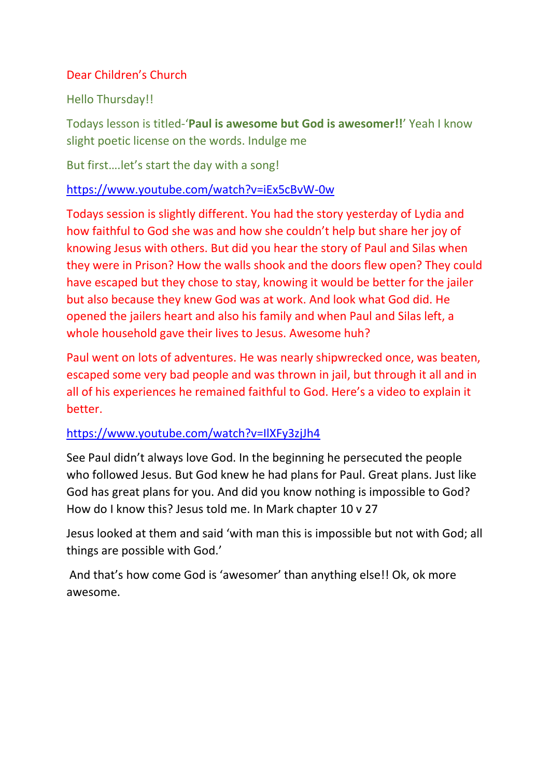# Dear Children's Church

# Hello Thursday!!

Todays lesson is titled-'**Paul is awesome but God is awesomer!!**' Yeah I know slight poetic license on the words. Indulge me

But first….let's start the day with a song!

## <https://www.youtube.com/watch?v=iEx5cBvW-0w>

Todays session is slightly different. You had the story yesterday of Lydia and how faithful to God she was and how she couldn't help but share her joy of knowing Jesus with others. But did you hear the story of Paul and Silas when they were in Prison? How the walls shook and the doors flew open? They could have escaped but they chose to stay, knowing it would be better for the jailer but also because they knew God was at work. And look what God did. He opened the jailers heart and also his family and when Paul and Silas left, a whole household gave their lives to Jesus. Awesome huh?

Paul went on lots of adventures. He was nearly shipwrecked once, was beaten, escaped some very bad people and was thrown in jail, but through it all and in all of his experiences he remained faithful to God. Here's a video to explain it better.

## <https://www.youtube.com/watch?v=IlXFy3zjJh4>

See Paul didn't always love God. In the beginning he persecuted the people who followed Jesus. But God knew he had plans for Paul. Great plans. Just like God has great plans for you. And did you know nothing is impossible to God? How do I know this? Jesus told me. In Mark chapter 10 v 27

Jesus looked at them and said 'with man this is impossible but not with God; all things are possible with God.'

And that's how come God is 'awesomer' than anything else!! Ok, ok more awesome.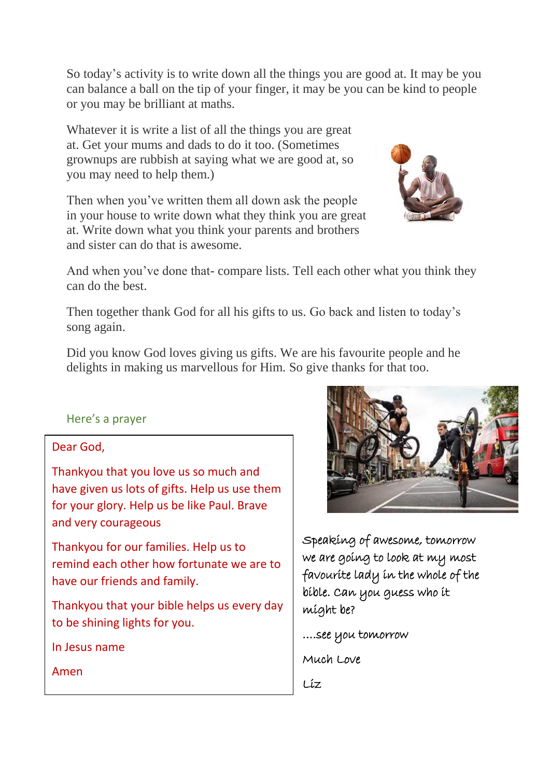So today's activity is to write down all the things you are good at. It may be you can balance a ball on the tip of your finger, it may be you can be kind to people or you may be brilliant at maths.

Whatever it is write a list of all the things you are great at. Get your mums and dads to do it too. (Sometimes grownups are rubbish at saying what we are good at, so you may need to help them.)

Then when you've written them all down ask the people in your house to write down what they think you are great at. Write down what you think your parents and brothers and sister can do that is awesome.



And when you've done that- compare lists. Tell each other what you think they can do the best.

Then together thank God for all his gifts to us. Go back and listen to today's song again.

Did you know God loves giving us gifts. We are his favourite people and he delights in making us marvellous for Him. So give thanks for that too.

#### Here's a prayer

#### Dear God,

Thankyou that you love us so much and have given us lots of gifts. Help us use them for your glory. Help us be like Paul. Brave and very courageous

Thankyou for our families. Help us to remind each other how fortunate we are to have our friends and family.

Thankyou that your bible helps us every day to be shining lights for you.

In Jesus name

Amen



Speaking of awesome, tomorrow we are going to look at my most favourite lady in the whole of the bible. Can you guess who it might be?

….see you tomorrow

Much Love

Liz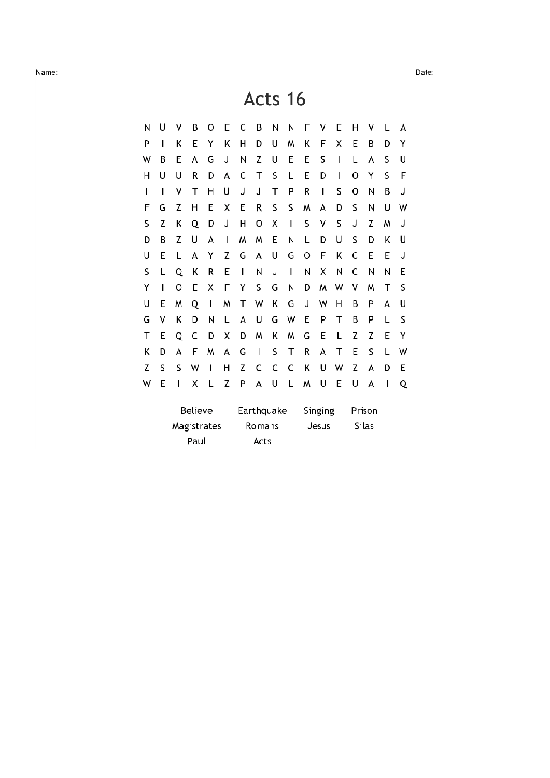Acts 16

| N | U                      | ٧ | В | 0 | Ε | C          | В | Ν | Ν | F       | ٧ | E | н      | ٧     |   | А |
|---|------------------------|---|---|---|---|------------|---|---|---|---------|---|---|--------|-------|---|---|
| P | ı                      | Κ | Ε | Y | Κ | н          | D | U | W | Κ       | F | Χ | Ε      | В     | D | Y |
| W | В                      | E | А | G | J | Ν          | Z | U | E | E       | S | I | L      | А     | S | U |
| Н | U                      | U | R | D | А | С          | т | S | L | E       | D | ı | 0      | Y     | S | F |
| ı | ı                      | ٧ | Т | Н | U | J          | J | Т | P | R       | I | S | O      | N     | В | J |
| F | G                      | Z | Η | E | Χ | Ε          | R | S | S | W       | A | D | S      | Ν     | U | W |
| S | Z                      | Κ | Q | D | J | н          | O | Χ | I | S       | ٧ | S | J      | Z     | W | J |
| D | В                      | Z | U | А | ı | W          | W | E | Ν | L       | D | U | S      | D     | Κ | U |
| U | Ε                      | L | А | Y | Z | G          | A | U | G | 0       | F | Κ | C      | E     | E | J |
| S | L                      | Q | Κ | R | Ε | I          | N | J | I | N       | Χ | N | C      | N     | Ν | E |
| Υ | ı                      | 0 | E | Χ | F | Υ          | S | G | Ν | D       | W | W | ٧      | W     | Т | S |
| U | E                      | M | Q | ı | W | т          | W | K | G | J       | W | Н | В      | Ρ     | А | U |
| G | ٧                      | Κ | D | Ν | L | A          | U | G | W | Ε       | P | Т | В      | P     | L | S |
| т | E                      | Q | C | D | Χ | D          | W | Κ | W | G       | E | L | Z      | Z     | E | Y |
| Κ | D                      | А | F | W | А | G          | ı | S | Τ | R       | А | т | E      | S     | L | W |
| Z | S                      | S | W | I | Н | Z          | C | C | C | Κ       | U | W | Z      | А     | D | E |
| W | E                      | ı | Χ | L | Z | P          | A | U | L | W       | U | E | U      | А     | ı | Q |
|   | Believe<br>Magistrates |   |   |   |   | Earthquake |   |   |   | Singing |   |   | Prison |       |   |   |
|   |                        |   |   |   |   | Romans     |   |   |   | Jesus   |   |   |        | Silas |   |   |
|   | Paul                   |   |   |   |   | Acts       |   |   |   |         |   |   |        |       |   |   |
|   |                        |   |   |   |   |            |   |   |   |         |   |   |        |       |   |   |

Name: